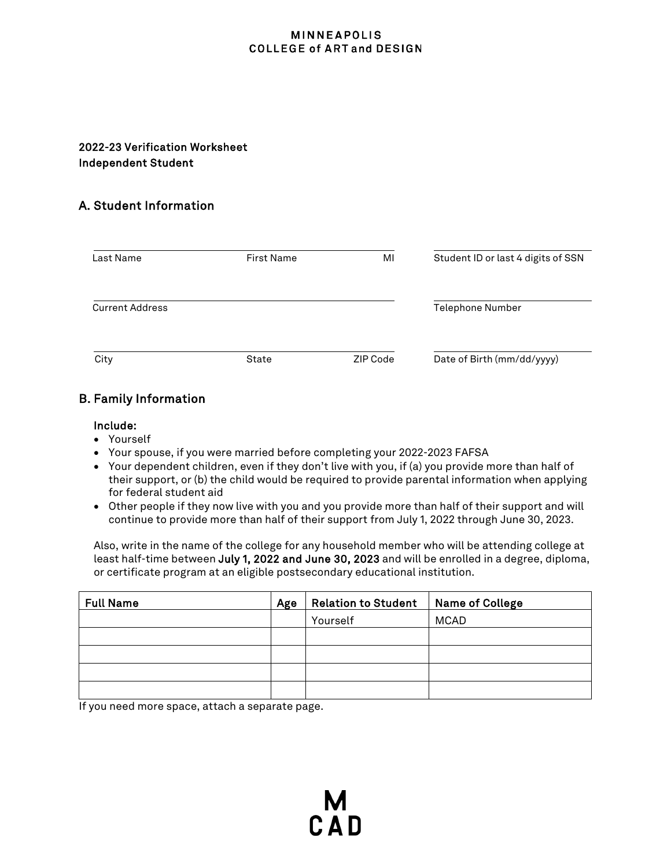### **MINNEAPOLIS COLLEGE of ART and DESIGN**

## 2022-23 Verification Worksheet Independent Student

# A. Student Information

| Last Name              | <b>First Name</b> | MI       | Student ID or last 4 digits of SSN |
|------------------------|-------------------|----------|------------------------------------|
| <b>Current Address</b> |                   |          | <b>Telephone Number</b>            |
| City                   | State             | ZIP Code | Date of Birth (mm/dd/yyyy)         |

## B. Family Information

### Include:

- Yourself
- Your spouse, if you were married before completing your 2022-2023 FAFSA
- Your dependent children, even if they don't live with you, if (a) you provide more than half of their support, or (b) the child would be required to provide parental information when applying for federal student aid
- Other people if they now live with you and you provide more than half of their support and will continue to provide more than half of their support from July 1, 2022 through June 30, 2023.

Also, write in the name of the college for any household member who will be attending college at least half-time between July 1, 2022 and June 30, 2023 and will be enrolled in a degree, diploma, or certificate program at an eligible postsecondary educational institution.

| <b>Full Name</b> | Age | <b>Relation to Student</b> | Name of College |
|------------------|-----|----------------------------|-----------------|
|                  |     | Yourself                   | <b>MCAD</b>     |
|                  |     |                            |                 |
|                  |     |                            |                 |
|                  |     |                            |                 |
|                  |     |                            |                 |

M<br>CAD

If you need more space, attach a separate page.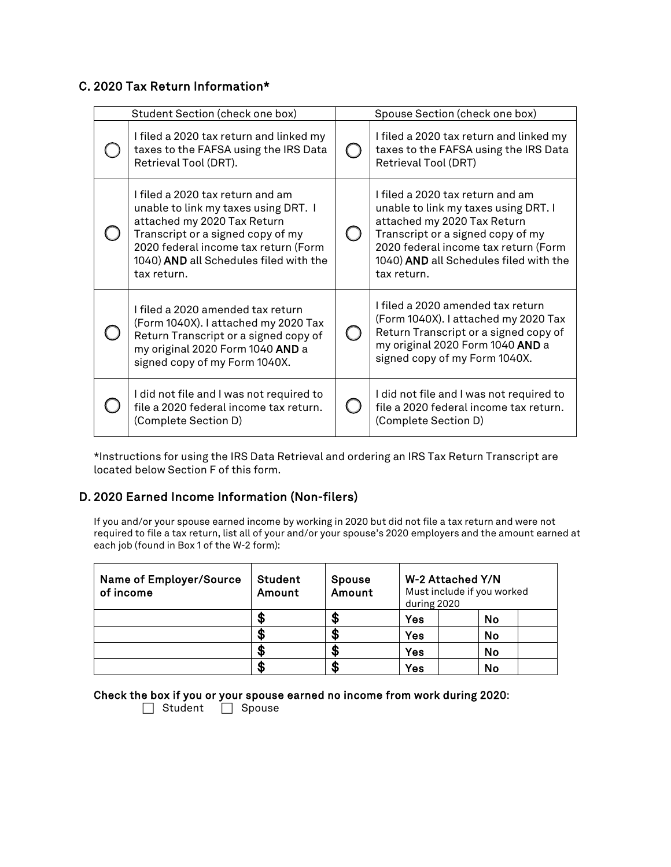## C. 2020 Tax Return Information\*

| Student Section (check one box) |                                                                                                                                                                                                                                               | Spouse Section (check one box) |                                                                                                                                                                                                                                               |  |
|---------------------------------|-----------------------------------------------------------------------------------------------------------------------------------------------------------------------------------------------------------------------------------------------|--------------------------------|-----------------------------------------------------------------------------------------------------------------------------------------------------------------------------------------------------------------------------------------------|--|
|                                 | I filed a 2020 tax return and linked my<br>taxes to the FAFSA using the IRS Data<br>Retrieval Tool (DRT).                                                                                                                                     |                                | I filed a 2020 tax return and linked my<br>taxes to the FAFSA using the IRS Data<br>Retrieval Tool (DRT)                                                                                                                                      |  |
|                                 | I filed a 2020 tax return and am<br>unable to link my taxes using DRT. I<br>attached my 2020 Tax Return<br>Transcript or a signed copy of my<br>2020 federal income tax return (Form<br>1040) AND all Schedules filed with the<br>tax return. |                                | I filed a 2020 tax return and am<br>unable to link my taxes using DRT. I<br>attached my 2020 Tax Return<br>Transcript or a signed copy of my<br>2020 federal income tax return (Form<br>1040) AND all Schedules filed with the<br>tax return. |  |
|                                 | I filed a 2020 amended tax return<br>(Form 1040X). I attached my 2020 Tax<br>Return Transcript or a signed copy of<br>my original 2020 Form 1040 AND a<br>signed copy of my Form 1040X.                                                       |                                | I filed a 2020 amended tax return<br>(Form 1040X). I attached my 2020 Tax<br>Return Transcript or a signed copy of<br>my original 2020 Form 1040 AND a<br>signed copy of my Form 1040X.                                                       |  |
|                                 | I did not file and I was not required to<br>file a 2020 federal income tax return.<br>(Complete Section D)                                                                                                                                    |                                | I did not file and I was not required to<br>file a 2020 federal income tax return.<br>(Complete Section D)                                                                                                                                    |  |

\*Instructions for using the IRS Data Retrieval and ordering an IRS Tax Return Transcript are located below Section F of this form.

## D. 2020 Earned Income Information (Non-filers)

If you and/or your spouse earned income by working in 2020 but did not file a tax return and were not required to file a tax return, list all of your and/or your spouse's 2020 employers and the amount earned at each job (found in Box 1 of the W-2 form):

| <b>Name of Employer/Source</b><br>of income | Student<br>Amount | Spouse<br>Amount | during 2020 | W-2 Attached Y/N<br>Must include if you worked |
|---------------------------------------------|-------------------|------------------|-------------|------------------------------------------------|
|                                             | æ                 | æ                | Yes         | No                                             |
|                                             | œ<br>Œ            | S                | Yes         | <b>No</b>                                      |
|                                             | æ                 | S                | Yes         | <b>No</b>                                      |
|                                             | S                 | S                | Yes         | No                                             |

Check the box if you or your spouse earned no income from work during 2020:

 $\Box$  Student  $\Box$  Spouse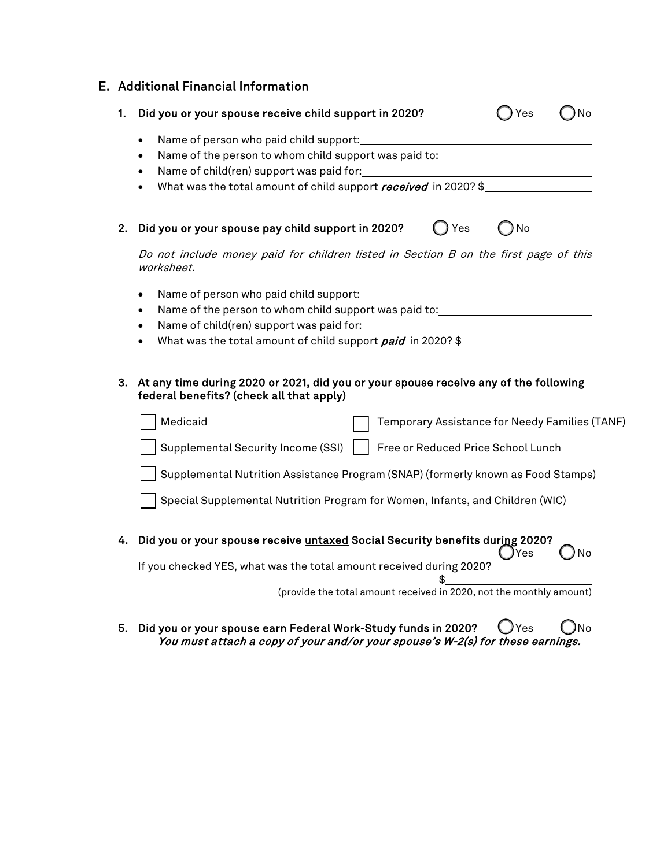# E. Additional Financial Information

| 1. | Did you or your spouse receive child support in 2020?<br>Yes<br>No                                                                                                                                                                      |
|----|-----------------------------------------------------------------------------------------------------------------------------------------------------------------------------------------------------------------------------------------|
|    | $\bullet$<br>Name of the person to whom child support was paid to: __________________________<br>٠<br>What was the total amount of child support received in 2020? \$                                                                   |
| 2. | Did you or your spouse pay child support in 2020?<br>No<br>Yes                                                                                                                                                                          |
|    | Do not include money paid for children listed in Section B on the first page of this<br>worksheet.                                                                                                                                      |
|    | $\bullet$<br>Name of the person to whom child support was paid to: <u>Name of the person of</u><br>What was the total amount of child support $paid$ in 2020? $\frac{1}{2}$                                                             |
| З. | At any time during 2020 or 2021, did you or your spouse receive any of the following<br>federal benefits? (check all that apply)                                                                                                        |
|    | Medicaid<br>Temporary Assistance for Needy Families (TANF)                                                                                                                                                                              |
|    | Supplemental Security Income (SSI)<br>Free or Reduced Price School Lunch                                                                                                                                                                |
|    | Supplemental Nutrition Assistance Program (SNAP) (formerly known as Food Stamps)                                                                                                                                                        |
|    | Special Supplemental Nutrition Program for Women, Infants, and Children (WIC)                                                                                                                                                           |
| 4. | Did you or your spouse receive untaxed Social Security benefits during 2020?<br>Yes<br>No<br>If you checked YES, what was the total amount received during 2020?<br>(provide the total amount received in 2020, not the monthly amount) |

5. Did you or your spouse earn Federal Work-Study funds in 2020?  $\bigcup$ Yes  $\bigcup$ No You must attach a copy of your and/or your spouse's W-2(s) for these earnings.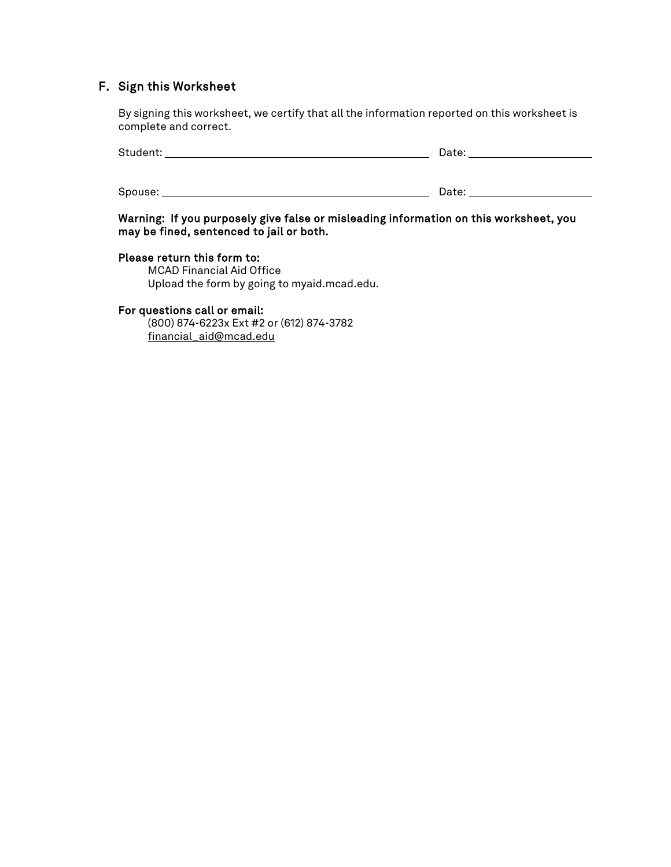## F. Sign this Worksheet

By signing this worksheet, we certify that all the information reported on this worksheet is complete and correct.

| Student: | Date: |
|----------|-------|
| Spouse:  | Date: |

Warning: If you purposely give false or misleading information on this worksheet, you may be fined, sentenced to jail or both.

#### Please return this form to:

MCAD Financial Aid Office Upload the form by going to myaid.mcad.edu.

### For questions call or email:

(800) 874-6223x Ext #2 or (612) 874-3782 [financial\\_aid@mcad.edu](mailto:financial_aid@mcad.edu)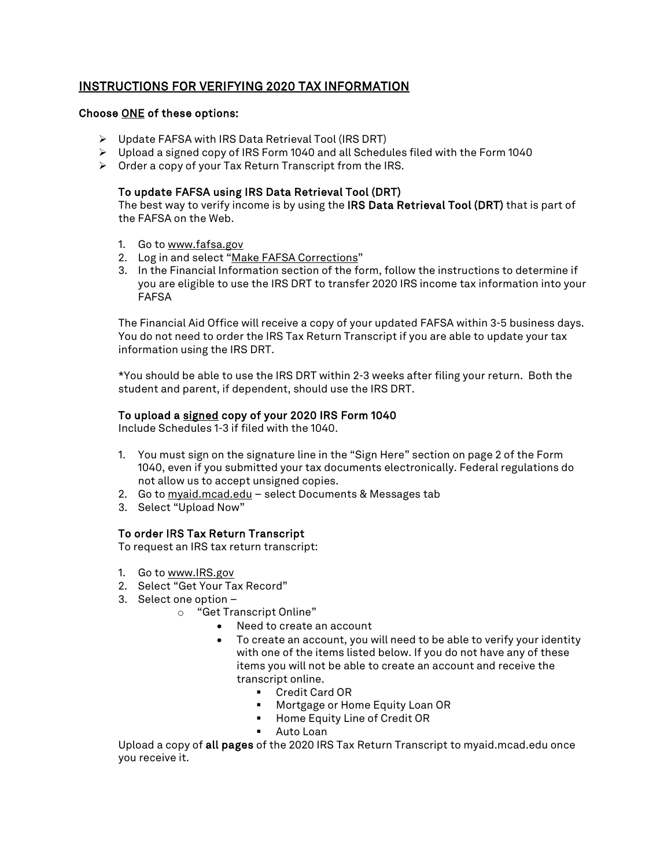# INSTRUCTIONS FOR VERIFYING 2020 TAX INFORMATION

### Choose ONE of these options:

- Update FAFSA with IRS Data Retrieval Tool (IRS DRT)
- $\triangleright$  Upload a signed copy of IRS Form 1040 and all Schedules filed with the Form 1040
- $\triangleright$  Order a copy of your Tax Return Transcript from the IRS.

### To update FAFSA using IRS Data Retrieval Tool (DRT)

The best way to verify income is by using the IRS Data Retrieval Tool (DRT) that is part of the FAFSA on the Web.

- 1. Go to [www.fafsa.gov](file://mantle/MCAD/CSS/Nicole/MyAid%20-%20Digital%20Signature%20Forms/www.fafsa.gov)
- 2. Log in and select "Make FAFSA Corrections"
- 3. In the Financial Information section of the form, follow the instructions to determine if you are eligible to use the IRS DRT to transfer 2020 IRS income tax information into your FAFSA

The Financial Aid Office will receive a copy of your updated FAFSA within 3-5 business days. You do not need to order the IRS Tax Return Transcript if you are able to update your tax information using the IRS DRT.

\*You should be able to use the IRS DRT within 2-3 weeks after filing your return. Both the student and parent, if dependent, should use the IRS DRT.

### To upload a signed copy of your 2020 IRS Form 1040

Include Schedules 1-3 if filed with the 1040.

- 1. You must sign on the signature line in the "Sign Here" section on page 2 of the Form 1040, even if you submitted your tax documents electronically. Federal regulations do not allow us to accept unsigned copies.
- 2. Go to [myaid.mcad.edu](file://mantle/MCAD/CSS/Nicole/MyAid%20-%20Digital%20Signature%20Forms/myaid.mcad.edu) select Documents & Messages tab
- 3. Select "Upload Now"

## To order IRS Tax Return Transcript

To request an IRS tax return transcript:

- 1. Go to [www.IRS.gov](http://www.irs.gov/)
- 2. Select "Get Your Tax Record"
- 3. Select one option
	- o "Get Transcript Online"
		- Need to create an account
		- To create an account, you will need to be able to verify your identity with one of the items listed below. If you do not have any of these items you will not be able to create an account and receive the transcript online.
			- Credit Card OR
			- Mortgage or Home Equity Loan OR
			- **EXECUTE:** Home Equity Line of Credit OR
			- Auto Loan

Upload a copy of all pages of the 2020 IRS Tax Return Transcript to myaid.mcad.edu once you receive it.